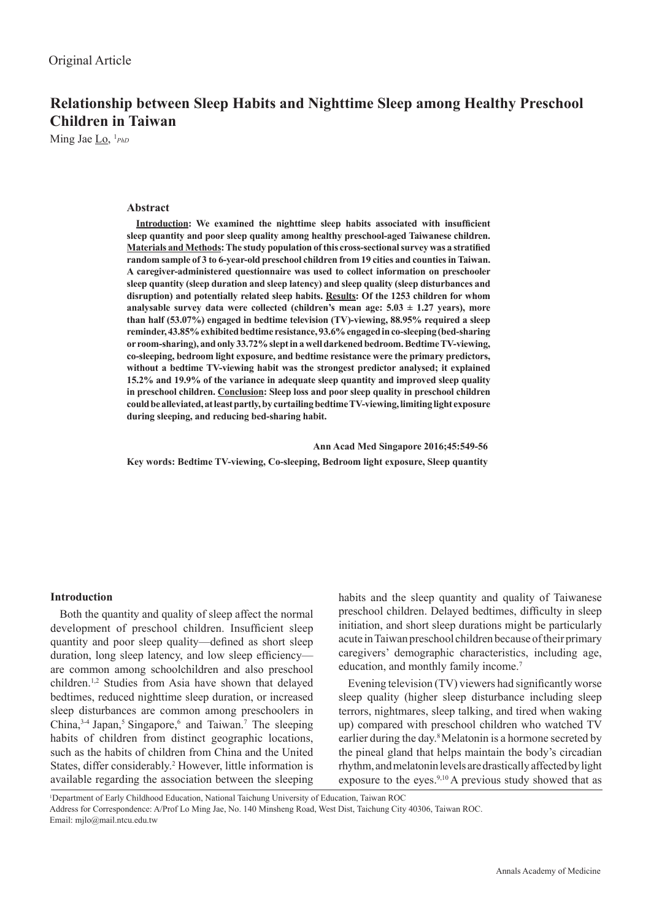# **Relationship between Sleep Habits and Nighttime Sleep among Healthy Preschool Children in Taiwan**

Ming Jae Lo, 1 *PhD*

### **Abstract**

**Introduction: We examined the nighttime sleep habits associated with insufficient sleep quantity and poor sleep quality among healthy preschool-aged Taiwanese children. Materials and Methods: The study population of this cross-sectional survey was a stratified random sample of 3 to 6-year-old preschool children from 19 cities and counties in Taiwan. A caregiver-administered questionnaire was used to collect information on preschooler sleep quantity (sleep duration and sleep latency) and sleep quality (sleep disturbances and disruption) and potentially related sleep habits. Results: Of the 1253 children for whom**  analysable survey data were collected (children's mean age:  $5.03 \pm 1.27$  years), more **than half (53.07%) engaged in bedtime television (TV)-viewing, 88.95% required a sleep reminder, 43.85% exhibited bedtime resistance, 93.6% engaged in co-sleeping (bed-sharing or room-sharing), and only 33.72% slept in a well darkened bedroom. Bedtime TV-viewing, co-sleeping, bedroom light exposure, and bedtime resistance were the primary predictors, without a bedtime TV-viewing habit was the strongest predictor analysed; it explained 15.2% and 19.9% of the variance in adequate sleep quantity and improved sleep quality in preschool children. Conclusion: Sleep loss and poor sleep quality in preschool children could be alleviated, at least partly, by curtailing bedtime TV-viewing, limiting light exposure during sleeping, and reducing bed-sharing habit.**

 **Ann Acad Med Singapore 2016;45:549-56 Key words: Bedtime TV-viewing, Co-sleeping, Bedroom light exposure, Sleep quantity**

#### **Introduction**

Both the quantity and quality of sleep affect the normal development of preschool children. Insufficient sleep quantity and poor sleep quality—defined as short sleep duration, long sleep latency, and low sleep efficiency are common among schoolchildren and also preschool children.1,2 Studies from Asia have shown that delayed bedtimes, reduced nighttime sleep duration, or increased sleep disturbances are common among preschoolers in China, $3-4$  Japan,<sup>5</sup> Singapore,<sup>6</sup> and Taiwan.<sup>7</sup> The sleeping habits of children from distinct geographic locations, such as the habits of children from China and the United States, differ considerably.<sup>2</sup> However, little information is available regarding the association between the sleeping

habits and the sleep quantity and quality of Taiwanese preschool children. Delayed bedtimes, difficulty in sleep initiation, and short sleep durations might be particularly acute in Taiwan preschool children because of their primary caregivers' demographic characteristics, including age, education, and monthly family income.<sup>7</sup>

Evening television (TV) viewers had significantly worse sleep quality (higher sleep disturbance including sleep terrors, nightmares, sleep talking, and tired when waking up) compared with preschool children who watched TV earlier during the day.<sup>8</sup> Melatonin is a hormone secreted by the pineal gland that helps maintain the body's circadian rhythm, and melatonin levels are drastically affected by light exposure to the eyes.<sup>9,10</sup> A previous study showed that as

1 Department of Early Childhood Education, National Taichung University of Education, Taiwan ROC

Address for Correspondence: A/Prof Lo Ming Jae, No. 140 Minsheng Road, West Dist, Taichung City 40306, Taiwan ROC. Email: mjlo@mail.ntcu.edu.tw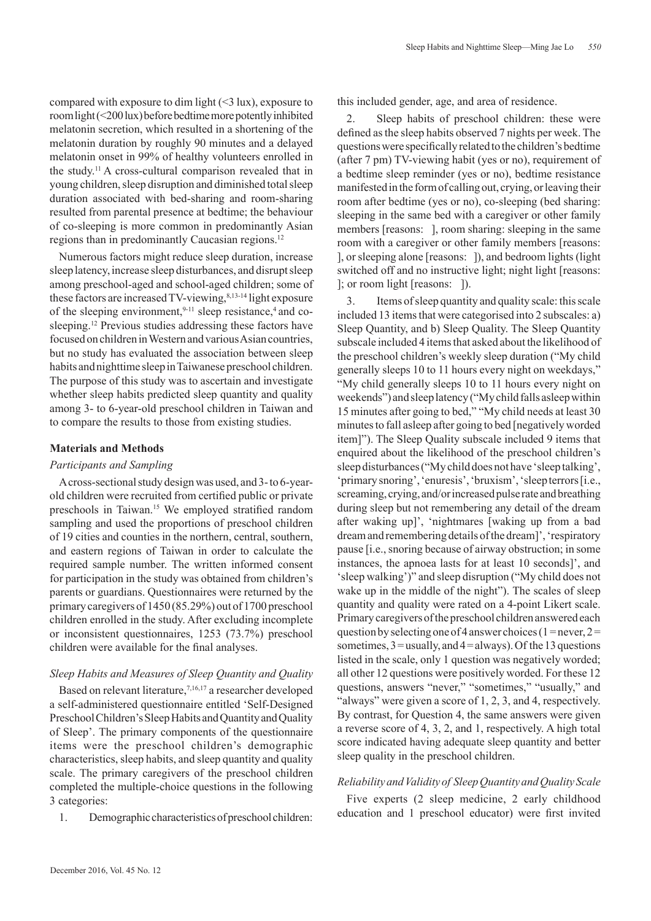compared with exposure to dim light (<3 lux), exposure to room light (<200 lux) before bedtime more potently inhibited melatonin secretion, which resulted in a shortening of the melatonin duration by roughly 90 minutes and a delayed melatonin onset in 99% of healthy volunteers enrolled in the study.11 A cross-cultural comparison revealed that in young children, sleep disruption and diminished total sleep duration associated with bed-sharing and room-sharing resulted from parental presence at bedtime; the behaviour of co-sleeping is more common in predominantly Asian regions than in predominantly Caucasian regions.12

Numerous factors might reduce sleep duration, increase sleep latency, increase sleep disturbances, and disrupt sleep among preschool-aged and school-aged children; some of these factors are increased TV-viewing,<sup>8,13-14</sup> light exposure of the sleeping environment,  $9-11$  sleep resistance, 4 and cosleeping.<sup>12</sup> Previous studies addressing these factors have focused on children in Western and various Asian countries, but no study has evaluated the association between sleep habits and nighttime sleep in Taiwanese preschool children. The purpose of this study was to ascertain and investigate whether sleep habits predicted sleep quantity and quality among 3- to 6-year-old preschool children in Taiwan and to compare the results to those from existing studies.

## **Materials and Methods**

## *Participants and Sampling*

A cross-sectional study design was used, and 3- to 6-yearold children were recruited from certified public or private preschools in Taiwan.15 We employed stratified random sampling and used the proportions of preschool children of 19 cities and counties in the northern, central, southern, and eastern regions of Taiwan in order to calculate the required sample number. The written informed consent for participation in the study was obtained from children's parents or guardians. Questionnaires were returned by the primary caregivers of 1450 (85.29%) out of 1700 preschool children enrolled in the study. After excluding incomplete or inconsistent questionnaires, 1253 (73.7%) preschool children were available for the final analyses.

## *Sleep Habits and Measures of Sleep Quantity and Quality*

Based on relevant literature,<sup>7,16,17</sup> a researcher developed a self-administered questionnaire entitled 'Self-Designed Preschool Children's Sleep Habits and Quantity and Quality of Sleep'. The primary components of the questionnaire items were the preschool children's demographic characteristics, sleep habits, and sleep quantity and quality scale. The primary caregivers of the preschool children completed the multiple-choice questions in the following 3 categories:

1. Demographic characteristics of preschool children:

this included gender, age, and area of residence.

2. Sleep habits of preschool children: these were defined as the sleep habits observed 7 nights per week. The questions were specifically related to the children's bedtime (after 7 pm) TV-viewing habit (yes or no), requirement of a bedtime sleep reminder (yes or no), bedtime resistance manifested in the form of calling out, crying, or leaving their room after bedtime (yes or no), co-sleeping (bed sharing: sleeping in the same bed with a caregiver or other family members [reasons: ], room sharing: sleeping in the same room with a caregiver or other family members [reasons: ], or sleeping alone [reasons: ]), and bedroom lights (light switched off and no instructive light; night light [reasons: ]; or room light [reasons: ]).

Sleep Habits and Nighttime Sleep—Ming Jae Lo *550*

3. Items of sleep quantity and quality scale: this scale included 13 items that were categorised into 2 subscales: a) Sleep Quantity, and b) Sleep Quality. The Sleep Quantity subscale included 4 items that asked about the likelihood of the preschool children's weekly sleep duration ("My child generally sleeps 10 to 11 hours every night on weekdays," "My child generally sleeps 10 to 11 hours every night on weekends") and sleep latency ("My child falls asleep within 15 minutes after going to bed," "My child needs at least 30 minutes to fall asleep after going to bed [negatively worded item]"). The Sleep Quality subscale included 9 items that enquired about the likelihood of the preschool children's sleep disturbances ("My child does not have 'sleep talking', 'primary snoring', 'enuresis', 'bruxism', 'sleep terrors [i.e., screaming, crying, and/or increased pulse rate and breathing during sleep but not remembering any detail of the dream after waking up]', 'nightmares [waking up from a bad dream and remembering details of the dream]', 'respiratory pause [i.e., snoring because of airway obstruction; in some instances, the apnoea lasts for at least 10 seconds]', and 'sleep walking')" and sleep disruption ("My child does not wake up in the middle of the night"). The scales of sleep quantity and quality were rated on a 4-point Likert scale. Primary caregivers of the preschool children answered each question by selecting one of 4 answer choices (1 = never,  $2 =$ sometimes,  $3 =$  usually, and  $4 =$  always). Of the 13 questions listed in the scale, only 1 question was negatively worded; all other 12 questions were positively worded. For these 12 questions, answers "never," "sometimes," "usually," and "always" were given a score of 1, 2, 3, and 4, respectively. By contrast, for Question 4, the same answers were given a reverse score of 4, 3, 2, and 1, respectively. A high total score indicated having adequate sleep quantity and better sleep quality in the preschool children.

## *Reliability and Validity of Sleep Quantity and Quality Scale*

Five experts (2 sleep medicine, 2 early childhood education and 1 preschool educator) were first invited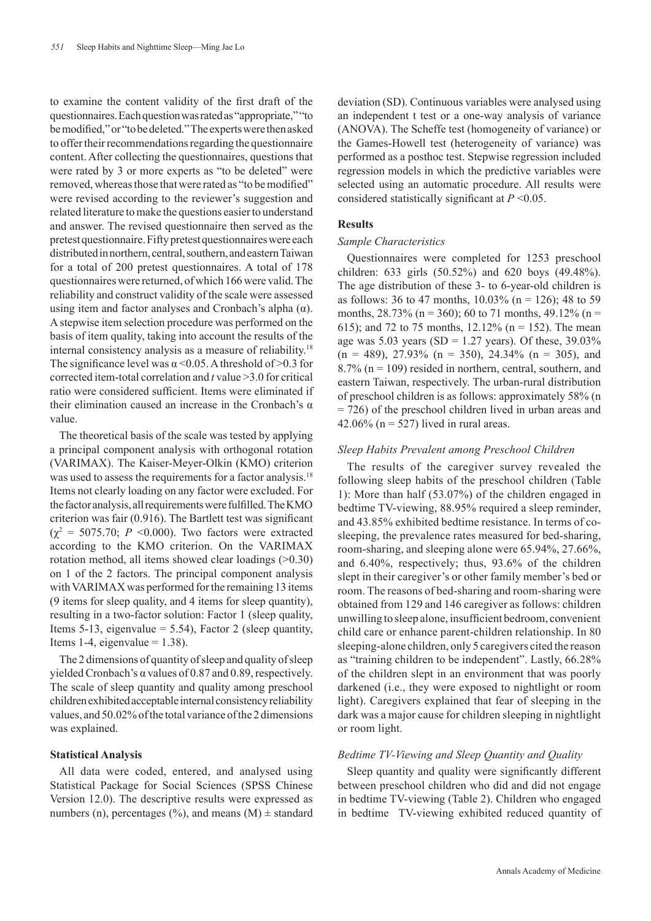to examine the content validity of the first draft of the questionnaires. Each question was rated as "appropriate," "to be modified," or "to be deleted." The experts were then asked to offer their recommendations regarding the questionnaire content. After collecting the questionnaires, questions that were rated by 3 or more experts as "to be deleted" were removed, whereas those that were rated as "to be modified" were revised according to the reviewer's suggestion and related literature to make the questions easier to understand and answer. The revised questionnaire then served as the pretest questionnaire. Fifty pretest questionnaires were each distributed in northern, central, southern, and eastern Taiwan for a total of 200 pretest questionnaires. A total of 178 questionnaires were returned, of which 166 were valid. The reliability and construct validity of the scale were assessed using item and factor analyses and Cronbach's alpha  $(\alpha)$ . A stepwise item selection procedure was performed on the basis of item quality, taking into account the results of the internal consistency analysis as a measure of reliability.18 The significance level was  $\alpha$  < 0.05. A threshold of > 0.3 for corrected item-total correlation and *t* value >3.0 for critical ratio were considered sufficient. Items were eliminated if their elimination caused an increase in the Cronbach's  $α$ value.

The theoretical basis of the scale was tested by applying a principal component analysis with orthogonal rotation (VARIMAX). The Kaiser-Meyer-Olkin (KMO) criterion was used to assess the requirements for a factor analysis.<sup>18</sup> Items not clearly loading on any factor were excluded. For the factor analysis, all requirements were fulfilled. The KMO criterion was fair (0.916). The Bartlett test was significant  $(\chi^2 = 5075.70; P \le 0.000)$ . Two factors were extracted according to the KMO criterion. On the VARIMAX rotation method, all items showed clear loadings (>0.30) on 1 of the 2 factors. The principal component analysis with VARIMAX was performed for the remaining 13 items (9 items for sleep quality, and 4 items for sleep quantity), resulting in a two-factor solution: Factor 1 (sleep quality, Items 5-13, eigenvalue  $= 5.54$ ), Factor 2 (sleep quantity, Items 1-4, eigenvalue  $= 1.38$ ).

The 2 dimensions of quantity of sleep and quality of sleep yielded Cronbach's α values of 0.87 and 0.89, respectively. The scale of sleep quantity and quality among preschool children exhibited acceptable internal consistency reliability values, and 50.02% of the total variance of the 2 dimensions was explained.

#### **Statistical Analysis**

All data were coded, entered, and analysed using Statistical Package for Social Sciences (SPSS Chinese Version 12.0). The descriptive results were expressed as numbers (n), percentages (%), and means (M)  $\pm$  standard deviation (SD). Continuous variables were analysed using an independent t test or a one-way analysis of variance (ANOVA). The Scheffe test (homogeneity of variance) or the Games-Howell test (heterogeneity of variance) was performed as a posthoc test. Stepwise regression included regression models in which the predictive variables were selected using an automatic procedure. All results were considered statistically significant at *P* <0.05.

#### **Results**

### *Sample Characteristics*

Questionnaires were completed for 1253 preschool children: 633 girls (50.52%) and 620 boys (49.48%). The age distribution of these 3- to 6-year-old children is as follows: 36 to 47 months,  $10.03\%$  (n = 126); 48 to 59 months,  $28.73\%$  (n = 360); 60 to 71 months, 49.12% (n = 615); and 72 to 75 months,  $12.12\%$  (n = 152). The mean age was  $5.03$  years (SD = 1.27 years). Of these,  $39.03\%$  $(n = 489)$ , 27.93%  $(n = 350)$ , 24.34%  $(n = 305)$ , and  $8.7\%$  (n = 109) resided in northern, central, southern, and eastern Taiwan, respectively. The urban-rural distribution of preschool children is as follows: approximately 58% (n = 726) of the preschool children lived in urban areas and 42.06% ( $n = 527$ ) lived in rural areas.

#### *Sleep Habits Prevalent among Preschool Children*

The results of the caregiver survey revealed the following sleep habits of the preschool children (Table 1): More than half (53.07%) of the children engaged in bedtime TV-viewing, 88.95% required a sleep reminder, and 43.85% exhibited bedtime resistance. In terms of cosleeping, the prevalence rates measured for bed-sharing, room-sharing, and sleeping alone were 65.94%, 27.66%, and 6.40%, respectively; thus, 93.6% of the children slept in their caregiver's or other family member's bed or room. The reasons of bed-sharing and room-sharing were obtained from 129 and 146 caregiver as follows: children unwilling to sleep alone, insufficient bedroom, convenient child care or enhance parent-children relationship. In 80 sleeping-alone children, only 5 caregivers cited the reason as "training children to be independent". Lastly, 66.28% of the children slept in an environment that was poorly darkened (i.e., they were exposed to nightlight or room light). Caregivers explained that fear of sleeping in the dark was a major cause for children sleeping in nightlight or room light.

#### *Bedtime TV-Viewing and Sleep Quantity and Quality*

Sleep quantity and quality were significantly different between preschool children who did and did not engage in bedtime TV-viewing (Table 2). Children who engaged in bedtime TV-viewing exhibited reduced quantity of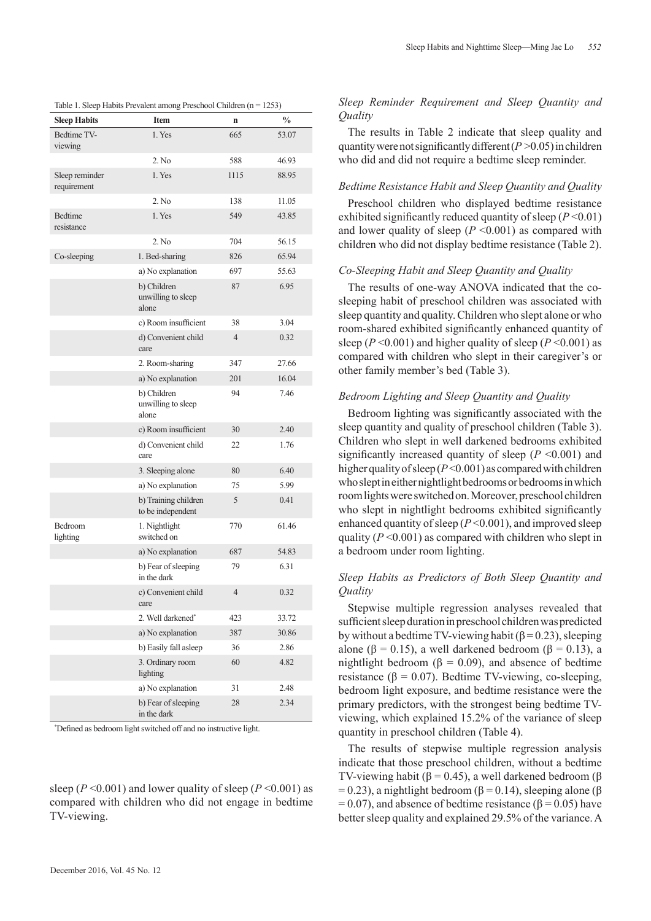| <b>Sleep Habits</b>           | <b>Item</b>                                | n              | $\frac{0}{0}$ |
|-------------------------------|--------------------------------------------|----------------|---------------|
| Bedtime TV-<br>viewing        | 1. Yes                                     | 665            | 53.07         |
|                               | 2. No                                      | 588            | 46.93         |
| Sleep reminder<br>requirement | 1. Yes                                     | 1115           | 88.95         |
|                               | 2. No                                      | 138            | 11.05         |
| Bedtime<br>resistance         | 1. Yes                                     | 549            | 43.85         |
|                               | 2. No                                      | 704            | 56.15         |
| Co-sleeping                   | 1. Bed-sharing                             | 826            | 65.94         |
|                               | a) No explanation                          | 697            | 55.63         |
|                               | b) Children<br>unwilling to sleep<br>alone | 87             | 6.95          |
|                               | c) Room insufficient                       | 38             | 3.04          |
|                               | d) Convenient child<br>care                | $\overline{4}$ | 0.32          |
|                               | 2. Room-sharing                            | 347            | 27.66         |
|                               | a) No explanation                          | 201            | 16.04         |
|                               | b) Children<br>unwilling to sleep<br>alone | 94             | 7.46          |
|                               | c) Room insufficient                       | 30             | 2.40          |
|                               | d) Convenient child<br>care                | 22             | 1.76          |
|                               | 3. Sleeping alone                          | 80             | 6.40          |
|                               | a) No explanation                          | 75             | 5.99          |
|                               | b) Training children<br>to be independent  | 5              | 0.41          |
| Bedroom<br>lighting           | 1. Nightlight<br>switched on               | 770            | 61.46         |
|                               | a) No explanation                          | 687            | 54.83         |
|                               | b) Fear of sleeping<br>in the dark         | 79             | 6.31          |
|                               | c) Convenient child<br>care                | $\overline{4}$ | 0.32          |
|                               | 2. Well darkened*                          | 423            | 33.72         |
|                               | a) No explanation                          | 387            | 30.86         |
|                               | b) Easily fall asleep                      | 36             | 2.86          |
|                               | 3. Ordinary room<br>lighting               | 60             | 4.82          |
|                               | a) No explanation                          | 31             | 2.48          |
|                               | b) Fear of sleeping<br>in the dark         | 28             | 2.34          |

Table 1. Sleep Habits Prevalent among Preschool Children (n = 1253)

\* Defined as bedroom light switched off and no instructive light.

sleep ( $P \le 0.001$ ) and lower quality of sleep ( $P \le 0.001$ ) as compared with children who did not engage in bedtime TV-viewing.

# *Sleep Reminder Requirement and Sleep Quantity and Quality*

The results in Table 2 indicate that sleep quality and quantity were not significantly different  $(P>0.05)$  in children who did and did not require a bedtime sleep reminder.

#### *Bedtime Resistance Habit and Sleep Quantity and Quality*

Preschool children who displayed bedtime resistance exhibited significantly reduced quantity of sleep  $(P<0.01)$ and lower quality of sleep  $(P \le 0.001)$  as compared with children who did not display bedtime resistance (Table 2).

## *Co-Sleeping Habit and Sleep Quantity and Quality*

The results of one-way ANOVA indicated that the cosleeping habit of preschool children was associated with sleep quantity and quality. Children who slept alone or who room-shared exhibited significantly enhanced quantity of sleep ( $P \le 0.001$ ) and higher quality of sleep ( $P \le 0.001$ ) as compared with children who slept in their caregiver's or other family member's bed (Table 3).

#### *Bedroom Lighting and Sleep Quantity and Quality*

Bedroom lighting was significantly associated with the sleep quantity and quality of preschool children (Table 3). Children who slept in well darkened bedrooms exhibited significantly increased quantity of sleep  $(P \le 0.001)$  and higher quality of sleep (*P* <0.001) as compared with children who slept in either nightlight bedrooms or bedrooms in which room lights were switched on. Moreover, preschool children who slept in nightlight bedrooms exhibited significantly enhanced quantity of sleep (*P* <0.001), and improved sleep quality  $(P<0.001)$  as compared with children who slept in a bedroom under room lighting.

## *Sleep Habits as Predictors of Both Sleep Quantity and Quality*

Stepwise multiple regression analyses revealed that sufficient sleep duration in preschool children was predicted by without a bedtime TV-viewing habit ( $\beta$  = 0.23), sleeping alone ( $\beta = 0.15$ ), a well darkened bedroom ( $\beta = 0.13$ ), a nightlight bedroom (β = 0.09), and absence of bedtime resistance ( $\beta$  = 0.07). Bedtime TV-viewing, co-sleeping, bedroom light exposure, and bedtime resistance were the primary predictors, with the strongest being bedtime TVviewing, which explained 15.2% of the variance of sleep quantity in preschool children (Table 4).

The results of stepwise multiple regression analysis indicate that those preschool children, without a bedtime TV-viewing habit ( $\beta$  = 0.45), a well darkened bedroom ( $\beta$ )  $= 0.23$ ), a nightlight bedroom ( $\beta = 0.14$ ), sleeping alone ( $\beta$  $= 0.07$ ), and absence of bedtime resistance ( $\beta = 0.05$ ) have better sleep quality and explained 29.5% of the variance. A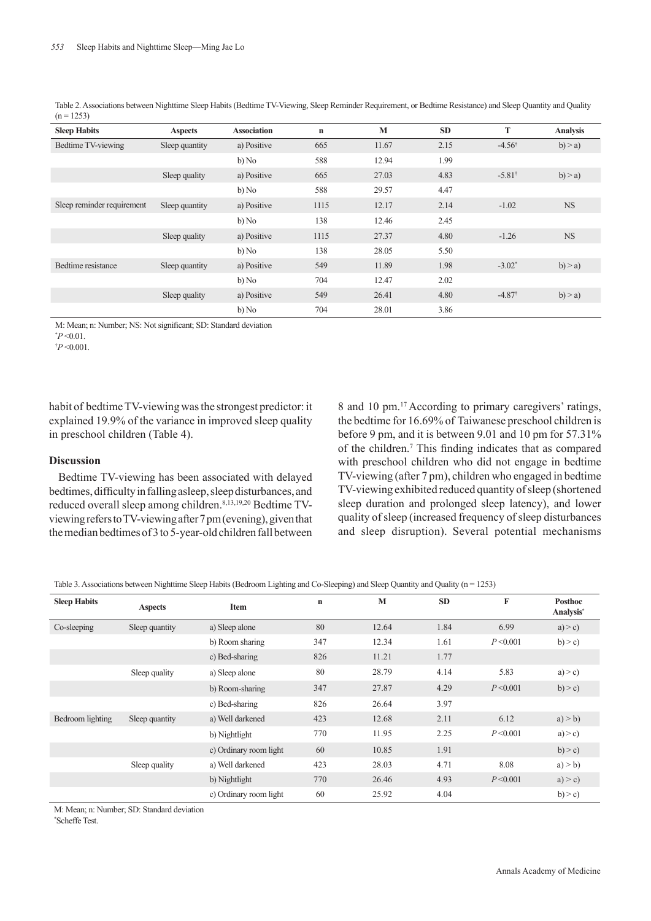Table 2. Associations between Nighttime Sleep Habits (Bedtime TV-Viewing, Sleep Reminder Requirement, or Bedtime Resistance) and Sleep Quantity and Quality  $(n = 1253)$ 

| <b>Sleep Habits</b>        | <b>Aspects</b> | <b>Association</b> | $\mathbf n$ | M     | <b>SD</b> | T                    | <b>Analysis</b> |
|----------------------------|----------------|--------------------|-------------|-------|-----------|----------------------|-----------------|
| Bedtime TV-viewing         | Sleep quantity | a) Positive        | 665         | 11.67 | 2.15      | $-4.56^{\dagger}$    | b) > a          |
|                            |                | b) No              | 588         | 12.94 | 1.99      |                      |                 |
|                            | Sleep quality  | a) Positive        | 665         | 27.03 | 4.83      | $-5.81^{\dagger}$    | $b$ ) > a)      |
|                            |                | b) No              | 588         | 29.57 | 4.47      |                      |                 |
| Sleep reminder requirement | Sleep quantity | a) Positive        | 1115        | 12.17 | 2.14      | $-1.02$              | NS              |
|                            |                | b) No              | 138         | 12.46 | 2.45      |                      |                 |
|                            | Sleep quality  | a) Positive        | 1115        | 27.37 | 4.80      | $-1.26$              | <b>NS</b>       |
|                            |                | b) No              | 138         | 28.05 | 5.50      |                      |                 |
| Bedtime resistance         | Sleep quantity | a) Positive        | 549         | 11.89 | 1.98      | $-3.02*$             | b) > a          |
|                            |                | b) No              | 704         | 12.47 | 2.02      |                      |                 |
|                            | Sleep quality  | a) Positive        | 549         | 26.41 | 4.80      | $-4.87$ <sup>t</sup> | b) > a)         |
|                            |                | b) No              | 704         | 28.01 | 3.86      |                      |                 |

M: Mean; n: Number; NS: Not significant; SD: Standard deviation

† *P* <0.001.

habit of bedtime TV-viewing was the strongest predictor: it explained 19.9% of the variance in improved sleep quality in preschool children (Table 4).

## **Discussion**

Bedtime TV-viewing has been associated with delayed bedtimes, difficulty in falling asleep, sleep disturbances, and reduced overall sleep among children.8,13,19,20 Bedtime TVviewing refers to TV-viewing after 7 pm (evening), given that the median bedtimes of 3 to 5-year-old children fall between

8 and 10 pm.<sup>17</sup> According to primary caregivers' ratings, the bedtime for 16.69% of Taiwanese preschool children is before 9 pm, and it is between 9.01 and 10 pm for 57.31% of the children.7 This finding indicates that as compared with preschool children who did not engage in bedtime TV-viewing (after 7 pm), children who engaged in bedtime TV-viewing exhibited reduced quantity of sleep (shortened sleep duration and prolonged sleep latency), and lower quality of sleep (increased frequency of sleep disturbances and sleep disruption). Several potential mechanisms

Table 3. Associations between Nighttime Sleep Habits (Bedroom Lighting and Co-Sleeping) and Sleep Quantity and Quality (n = 1253)

| <b>Sleep Habits</b> | <b>Aspects</b> | Item                   | $\mathbf n$ | M     | <b>SD</b> | F         | <b>Posthoc</b><br>Analysis* |
|---------------------|----------------|------------------------|-------------|-------|-----------|-----------|-----------------------------|
| Co-sleeping         | Sleep quantity | a) Sleep alone         | 80          | 12.64 | 1.84      | 6.99      | a) > c                      |
|                     |                | b) Room sharing        | 347         | 12.34 | 1.61      | P < 0.001 | b) > c                      |
|                     |                | c) Bed-sharing         | 826         | 11.21 | 1.77      |           |                             |
|                     | Sleep quality  | a) Sleep alone         | 80          | 28.79 | 4.14      | 5.83      | a) > c                      |
|                     |                | b) Room-sharing        | 347         | 27.87 | 4.29      | P < 0.001 | b) > c                      |
|                     |                | c) Bed-sharing         | 826         | 26.64 | 3.97      |           |                             |
| Bedroom lighting    | Sleep quantity | a) Well darkened       | 423         | 12.68 | 2.11      | 6.12      | a) > b)                     |
|                     |                | b) Nightlight          | 770         | 11.95 | 2.25      | P < 0.001 | a) > c                      |
|                     |                | c) Ordinary room light | 60          | 10.85 | 1.91      |           | b) > c                      |
|                     | Sleep quality  | a) Well darkened       | 423         | 28.03 | 4.71      | 8.08      | a) > b)                     |
|                     |                | b) Nightlight          | 770         | 26.46 | 4.93      | P < 0.001 | a) > c                      |
|                     |                | c) Ordinary room light | 60          | 25.92 | 4.04      |           | b) > c                      |

M: Mean; n: Number; SD: Standard deviation

\* Scheffe Test.

 $*P < 0.01$ .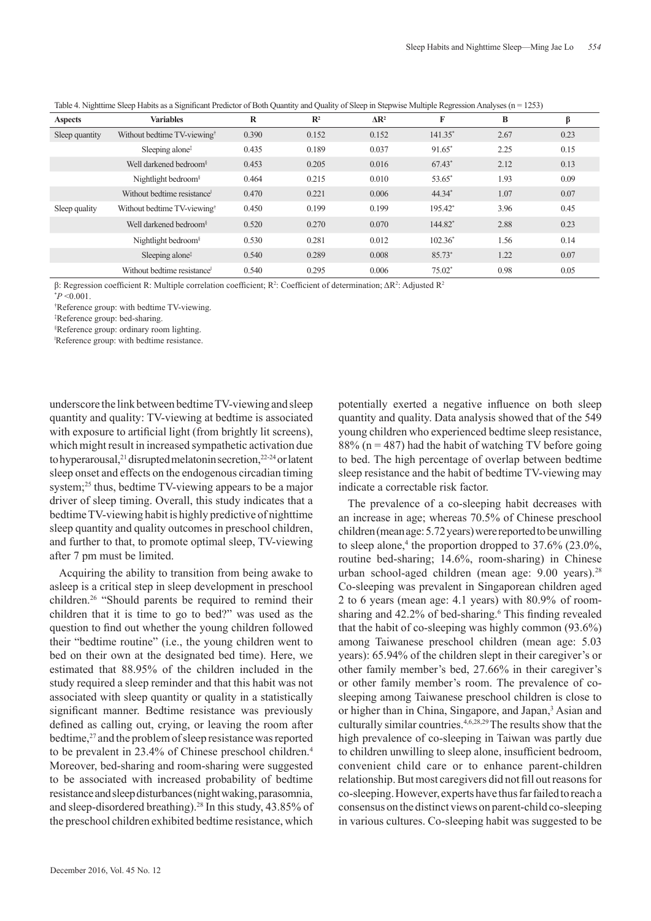| <b>Aspects</b> | <b>Variables</b>                        | $\bf{R}$ | $\mathbb{R}^2$ | $\Delta$ R <sup>2</sup> | F          | B    | β    |
|----------------|-----------------------------------------|----------|----------------|-------------------------|------------|------|------|
| Sleep quantity | Without bedtime TV-viewing <sup>†</sup> | 0.390    | 0.152          | 0.152                   | $141.35^*$ | 2.67 | 0.23 |
|                | Sleeping alone <sup>‡</sup>             | 0.435    | 0.189          | 0.037                   | $91.65*$   | 2.25 | 0.15 |
|                | Well darkened bedroom <sup>§</sup>      | 0.453    | 0.205          | 0.016                   | $67.43*$   | 2.12 | 0.13 |
|                | Nightlight bedroom $\delta$             | 0.464    | 0.215          | 0.010                   | 53.65*     | 1.93 | 0.09 |
|                | Without bedtime resistance <sup>1</sup> | 0.470    | 0.221          | 0.006                   | 44.34*     | 1.07 | 0.07 |
| Sleep quality  | Without bedtime TV-viewing <sup>†</sup> | 0.450    | 0.199          | 0.199                   | 195.42*    | 3.96 | 0.45 |
|                | Well darkened bedroom <sup>§</sup>      | 0.520    | 0.270          | 0.070                   | 144.82*    | 2.88 | 0.23 |
|                | Nightlight bedroom $\frac{8}{3}$        | 0.530    | 0.281          | 0.012                   | $102.36*$  | 1.56 | 0.14 |
|                | Sleeping alone <sup>*</sup>             | 0.540    | 0.289          | 0.008                   | 85.73*     | 1.22 | 0.07 |
|                | Without bedtime resistance              | 0.540    | 0.295          | 0.006                   | $75.02*$   | 0.98 | 0.05 |

Table 4. Nighttime Sleep Habits as a Significant Predictor of Both Quantity and Quality of Sleep in Stepwise Multiple Regression Analyses (n = 1253)

β: Regression coefficient R: Multiple correlation coefficient;  $R^2$ : Coefficient of determination;  $\Delta R^2$ : Adjusted  $R^2$ 

† Reference group: with bedtime TV-viewing.

‡ Reference group: bed-sharing.

§ Reference group: ordinary room lighting.

Reference group: with bedtime resistance.

underscore the link between bedtime TV-viewing and sleep quantity and quality: TV-viewing at bedtime is associated with exposure to artificial light (from brightly lit screens), which might result in increased sympathetic activation due to hyperarousal,<sup>21</sup> disrupted melatonin secretion,<sup>22-24</sup> or latent sleep onset and effects on the endogenous circadian timing system;<sup>25</sup> thus, bedtime TV-viewing appears to be a major driver of sleep timing. Overall, this study indicates that a bedtime TV-viewing habit is highly predictive of nighttime sleep quantity and quality outcomes in preschool children, and further to that, to promote optimal sleep, TV-viewing after 7 pm must be limited.

Acquiring the ability to transition from being awake to asleep is a critical step in sleep development in preschool children.26 "Should parents be required to remind their children that it is time to go to bed?" was used as the question to find out whether the young children followed their "bedtime routine" (i.e., the young children went to bed on their own at the designated bed time). Here, we estimated that 88.95% of the children included in the study required a sleep reminder and that this habit was not associated with sleep quantity or quality in a statistically significant manner. Bedtime resistance was previously defined as calling out, crying, or leaving the room after bedtime,<sup>27</sup> and the problem of sleep resistance was reported to be prevalent in 23.4% of Chinese preschool children.4 Moreover, bed-sharing and room-sharing were suggested to be associated with increased probability of bedtime resistance and sleep disturbances (night waking, parasomnia, and sleep-disordered breathing).28 In this study, 43.85% of the preschool children exhibited bedtime resistance, which

potentially exerted a negative influence on both sleep quantity and quality. Data analysis showed that of the 549 young children who experienced bedtime sleep resistance, 88% ( $n = 487$ ) had the habit of watching TV before going to bed. The high percentage of overlap between bedtime sleep resistance and the habit of bedtime TV-viewing may indicate a correctable risk factor.

The prevalence of a co-sleeping habit decreases with an increase in age; whereas 70.5% of Chinese preschool children (mean age: 5.72 years) were reported to be unwilling to sleep alone,<sup>4</sup> the proportion dropped to  $37.6\%$  (23.0%, routine bed-sharing; 14.6%, room-sharing) in Chinese urban school-aged children (mean age: 9.00 years).28 Co-sleeping was prevalent in Singaporean children aged 2 to 6 years (mean age: 4.1 years) with 80.9% of roomsharing and 42.2% of bed-sharing.<sup>6</sup> This finding revealed that the habit of co-sleeping was highly common (93.6%) among Taiwanese preschool children (mean age: 5.03 years): 65.94% of the children slept in their caregiver's or other family member's bed, 27.66% in their caregiver's or other family member's room. The prevalence of cosleeping among Taiwanese preschool children is close to or higher than in China, Singapore, and Japan,<sup>3</sup> Asian and culturally similar countries.4,6,28,29 The results show that the high prevalence of co-sleeping in Taiwan was partly due to children unwilling to sleep alone, insufficient bedroom, convenient child care or to enhance parent-children relationship. But most caregivers did not fill out reasons for co-sleeping. However, experts have thus far failed to reach a consensus on the distinct views on parent-child co-sleeping in various cultures. Co-sleeping habit was suggested to be

 $*P < 0.001$ .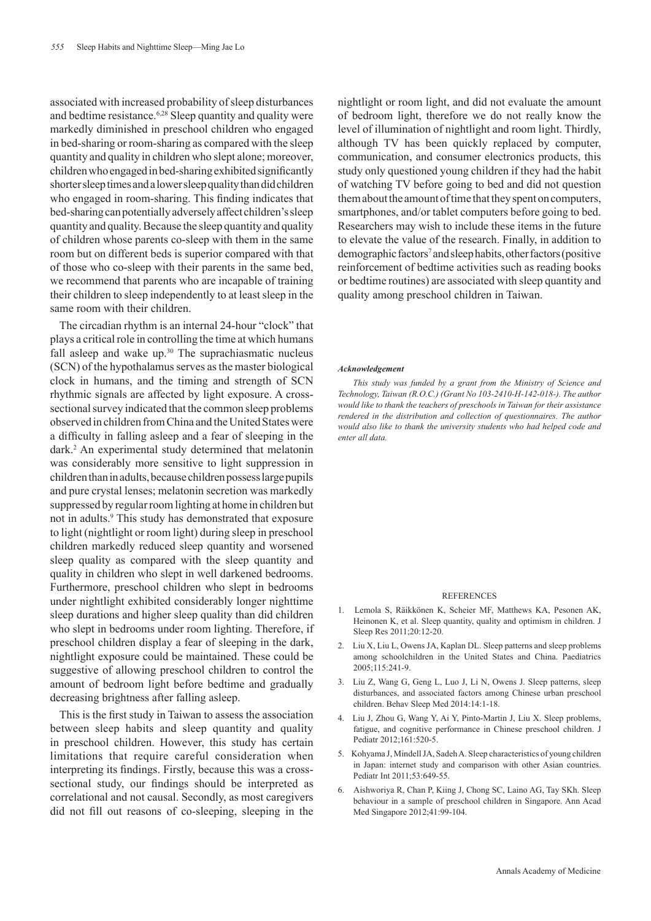associated with increased probability of sleep disturbances and bedtime resistance.<sup>6,28</sup> Sleep quantity and quality were markedly diminished in preschool children who engaged in bed-sharing or room-sharing as compared with the sleep quantity and quality in children who slept alone; moreover, children who engaged in bed-sharing exhibited significantly shorter sleep times and a lower sleep quality than did children who engaged in room-sharing. This finding indicates that bed-sharing can potentially adversely affect children's sleep quantity and quality. Because the sleep quantity and quality of children whose parents co-sleep with them in the same room but on different beds is superior compared with that of those who co-sleep with their parents in the same bed, we recommend that parents who are incapable of training their children to sleep independently to at least sleep in the same room with their children.

The circadian rhythm is an internal 24-hour "clock" that plays a critical role in controlling the time at which humans fall asleep and wake up.<sup>30</sup> The suprachiasmatic nucleus (SCN) of the hypothalamus serves as the master biological clock in humans, and the timing and strength of SCN rhythmic signals are affected by light exposure. A crosssectional survey indicated that the common sleep problems observed in children from China and the United States were a difficulty in falling asleep and a fear of sleeping in the dark.2 An experimental study determined that melatonin was considerably more sensitive to light suppression in children than in adults, because children possess large pupils and pure crystal lenses; melatonin secretion was markedly suppressed by regular room lighting at home in children but not in adults.<sup>9</sup> This study has demonstrated that exposure to light (nightlight or room light) during sleep in preschool children markedly reduced sleep quantity and worsened sleep quality as compared with the sleep quantity and quality in children who slept in well darkened bedrooms. Furthermore, preschool children who slept in bedrooms under nightlight exhibited considerably longer nighttime sleep durations and higher sleep quality than did children who slept in bedrooms under room lighting. Therefore, if preschool children display a fear of sleeping in the dark, nightlight exposure could be maintained. These could be suggestive of allowing preschool children to control the amount of bedroom light before bedtime and gradually decreasing brightness after falling asleep.

This is the first study in Taiwan to assess the association between sleep habits and sleep quantity and quality in preschool children. However, this study has certain limitations that require careful consideration when interpreting its findings. Firstly, because this was a crosssectional study, our findings should be interpreted as correlational and not causal. Secondly, as most caregivers did not fill out reasons of co-sleeping, sleeping in the

nightlight or room light, and did not evaluate the amount of bedroom light, therefore we do not really know the level of illumination of nightlight and room light. Thirdly, although TV has been quickly replaced by computer, communication, and consumer electronics products, this study only questioned young children if they had the habit of watching TV before going to bed and did not question them about the amount of time that they spent on computers, smartphones, and/or tablet computers before going to bed. Researchers may wish to include these items in the future to elevate the value of the research. Finally, in addition to demographic factors<sup>7</sup> and sleep habits, other factors (positive reinforcement of bedtime activities such as reading books or bedtime routines) are associated with sleep quantity and quality among preschool children in Taiwan.

#### *Acknowledgement*

*This study was funded by a grant from the Ministry of Science and Technology, Taiwan (R.O.C.) (Grant No 103-2410-H-142-018-). The author would like to thank the teachers of preschools in Taiwan for their assistance rendered in the distribution and collection of questionnaires. The author would also like to thank the university students who had helped code and enter all data.*

#### **REFERENCES**

- 1. Lemola S, Räikkönen K, Scheier MF, Matthews KA, Pesonen AK, Heinonen K, et al. Sleep quantity, quality and optimism in children. J Sleep Res 2011;20:12-20.
- 2. Liu X, Liu L, Owens JA, Kaplan DL. Sleep patterns and sleep problems among schoolchildren in the United States and China. Paediatrics 2005;115:241-9.
- 3. Liu Z, Wang G, Geng L, Luo J, Li N, Owens J. Sleep patterns, sleep disturbances, and associated factors among Chinese urban preschool children. Behav Sleep Med 2014:14:1-18.
- 4. Liu J, Zhou G, Wang Y, Ai Y, Pinto-Martin J, Liu X. Sleep problems, fatigue, and cognitive performance in Chinese preschool children. J Pediatr 2012;161:520-5.
- 5. Kohyama J, Mindell JA, Sadeh A. Sleep characteristics of young children in Japan: internet study and comparison with other Asian countries. Pediatr Int 2011;53:649-55.
- 6. Aishworiya R, Chan P, Kiing J, Chong SC, Laino AG, Tay SKh. Sleep behaviour in a sample of preschool children in Singapore. Ann Acad Med Singapore 2012;41:99-104.